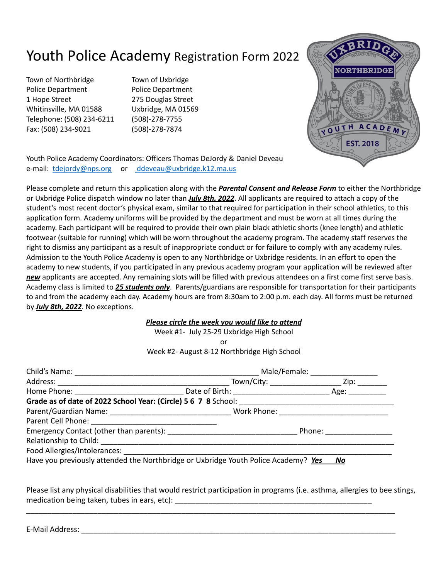## Youth Police Academy Registration Form 2022

Town of Northbridge Town of Uxbridge Police Department Police Department 1 Hope Street 275 Douglas Street Whitinsville, MA 01588 Uxbridge, MA 01569 Telephone: (508) 234-6211 (508)-278-7755 Fax: (508) 234-9021 (508)-278-7874



Youth Police Academy Coordinators: Officers Thomas DeJordy & Daniel Deveau e-mail: [tdejordy@nps.org](mailto:tdejordy@nps.org) or ddeveau@uxbridge.k12.ma.us

Please complete and return this application along with the *Parental Consent and Release Form* to either the Northbridge or Uxbridge Police dispatch window no later than *July 8th, 2022*. All applicants are required to attach a copy of the student's most recent doctor's physical exam, similar to that required for participation in their school athletics, to this application form. Academy uniforms will be provided by the department and must be worn at all times during the academy. Each participant will be required to provide their own plain black athletic shorts (knee length) and athletic footwear (suitable for running) which will be worn throughout the academy program. The academy staff reserves the right to dismiss any participant as a result of inappropriate conduct or for failure to comply with any academy rules. Admission to the Youth Police Academy is open to any Northbridge or Uxbridge residents. In an effort to open the academy to new students, if you participated in any previous academy program your application will be reviewed after *new* applicants are accepted. Any remaining slots will be filled with previous attendees on a first come first serve basis. Academy class is limited to *25 students only*. Parents/guardians are responsible for transportation for their participants to and from the academy each day. Academy hours are from 8:30am to 2:00 p.m. each day. All forms must be returned by *July 8th, 2022*. No exceptions.

## *Please circle the week you would like to attend*

Week #1- July 25-29 Uxbridge High School

or

Week #2- August 8-12 Northbridge High School

|                                                                                    | Male/Female: ___________________                                                                                                                                                                                               |  |
|------------------------------------------------------------------------------------|--------------------------------------------------------------------------------------------------------------------------------------------------------------------------------------------------------------------------------|--|
|                                                                                    | Town/City: ______________________________ Zip: __________                                                                                                                                                                      |  |
|                                                                                    |                                                                                                                                                                                                                                |  |
|                                                                                    |                                                                                                                                                                                                                                |  |
|                                                                                    |                                                                                                                                                                                                                                |  |
|                                                                                    |                                                                                                                                                                                                                                |  |
|                                                                                    | Phone: the contract of the contract of the contract of the contract of the contract of the contract of the contract of the contract of the contract of the contract of the contract of the contract of the contract of the con |  |
|                                                                                    |                                                                                                                                                                                                                                |  |
|                                                                                    |                                                                                                                                                                                                                                |  |
| Have you previously attended the Northbridge or Uxbridge Youth Police Academy? Yes | No                                                                                                                                                                                                                             |  |

Please list any physical disabilities that would restrict participation in programs (i.e. asthma, allergies to bee stings, medication being taken, tubes in ears, etc): \_\_\_\_\_\_\_\_\_\_\_\_\_\_\_\_\_\_\_\_\_\_\_\_\_\_\_\_\_\_\_\_\_\_\_

\_\_\_\_\_\_\_\_\_\_\_\_\_\_\_\_\_\_\_\_\_\_\_\_\_\_\_\_\_\_\_\_\_\_\_\_\_\_\_\_\_\_\_\_\_\_\_\_\_\_\_\_\_\_\_\_\_\_\_\_\_\_\_\_\_\_\_\_\_\_\_\_\_\_\_\_\_\_\_\_\_\_\_\_\_\_\_\_

E-Mail Address: